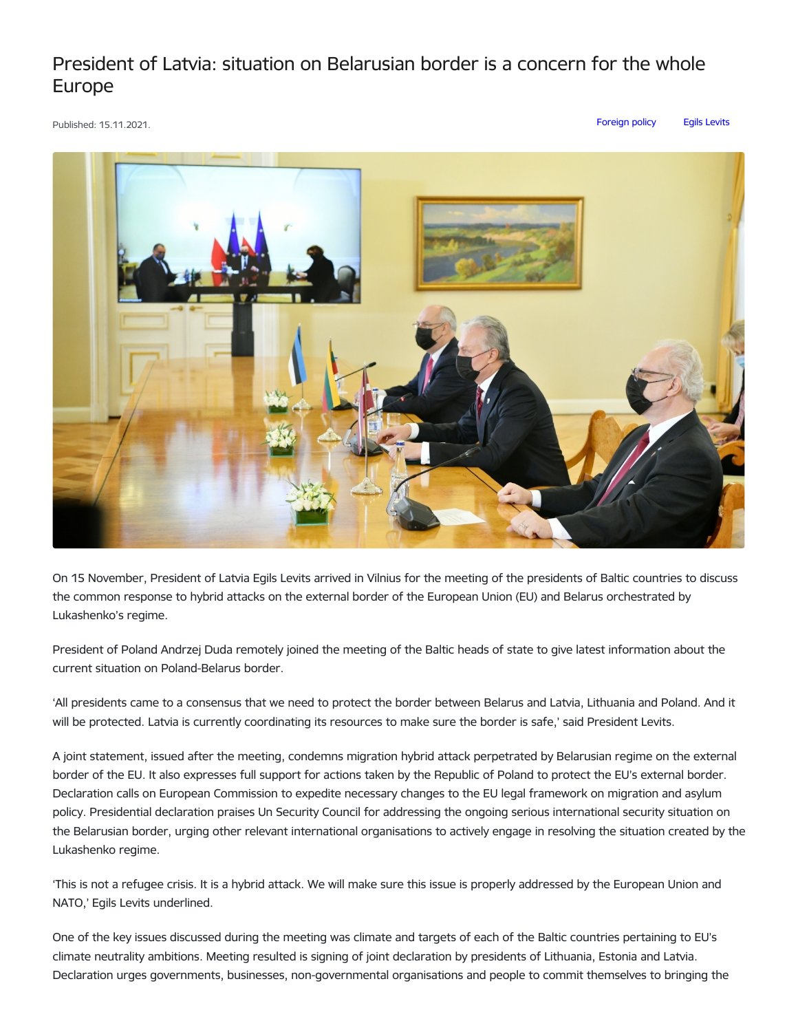## President of Latvia: situation on Belarusian border is a concern for the whole Europe

Published: 15.11.2021. [Foreign](https://www.president.lv/en/articles?category%255B314%255D=314) policy Egils [Levits](https://www.president.lv/en/articles?category%255B276%255D=276)



On 15 November, President of Latvia Egils Levits arrived in Vilnius for the meeting of the presidents of Baltic countries to discuss the common response to hybrid attacks on the external border of the European Union (EU) and Belarus orchestrated by Lukashenko's regime.

President of Poland Andrzej Duda remotely joined the meeting of the Baltic heads of state to give latest information about the current situation on Poland-Belarus border.

'All presidents came to a consensus that we need to protect the border between Belarus and Latvia, Lithuania and Poland. And it will be protected. Latvia is currently coordinating its resources to make sure the border is safe,' said President Levits.

A joint statement, issued after the meeting, condemns migration hybrid attack perpetrated by Belarusian regime on the external border of the EU. It also expresses full support for actions taken by the Republic of Poland to protect the EU's external border. Declaration calls on European Commission to expedite necessary changes to the EU legal framework on migration and asylum policy. Presidential declaration praises Un Security Council for addressing the ongoing serious international security situation on the Belarusian border, urging other relevant international organisations to actively engage in resolving the situation created by the Lukashenko regime.

'This is not a refugee crisis. It is a hybrid attack. We will make sure this issue is properly addressed by the European Union and NATO,' Egils Levits underlined.

One of the key issues discussed during the meeting was climate and targets of each of the Baltic countries pertaining to EU's climate neutrality ambitions. Meeting resulted is signing of joint declaration by presidents of Lithuania, Estonia and Latvia. Declaration urges governments, businesses, non-governmental organisations and people to commit themselves to bringing the